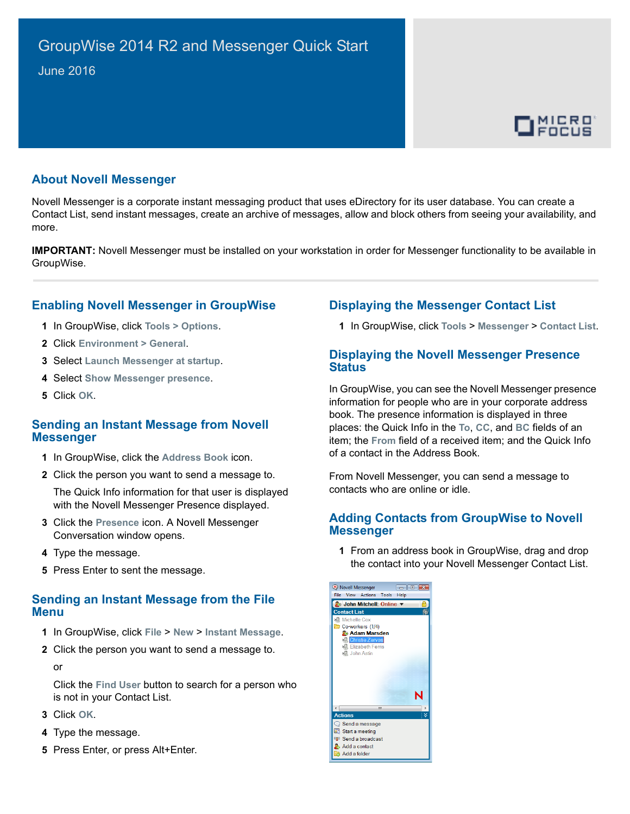

## **About Novell Messenger**

Novell Messenger is a corporate instant messaging product that uses eDirectory for its user database. You can create a Contact List, send instant messages, create an archive of messages, allow and block others from seeing your availability, and more.

**IMPORTANT:** Novell Messenger must be installed on your workstation in order for Messenger functionality to be available in GroupWise.

# **Enabling Novell Messenger in GroupWise**

- **1** In GroupWise, click **Tools > Options**.
- **2** Click **Environment > General**.
- **3** Select **Launch Messenger at startup**.
- **4** Select **Show Messenger presence**.
- **5** Click **OK**.

#### **Sending an Instant Message from Novell Messenger**

- **1** In GroupWise, click the **Address Book** icon.
- **2** Click the person you want to send a message to.

The Quick Info information for that user is displayed with the Novell Messenger Presence displayed.

- **3** Click the **Presence** icon. A Novell Messenger Conversation window opens.
- **4** Type the message.
- **5** Press Enter to sent the message.

## **Sending an Instant Message from the File Menu**

- **1** In GroupWise, click **File** > **New** > **Instant Message**.
- **2** Click the person you want to send a message to.

or

Click the **Find User** button to search for a person who is not in your Contact List.

- **3** Click **OK**.
- **4** Type the message.
- **5** Press Enter, or press Alt+Enter.

# **Displaying the Messenger Contact List**

**1** In GroupWise, click **Tools** > **Messenger** > **Contact List**.

### **Displaying the Novell Messenger Presence Status**

In GroupWise, you can see the Novell Messenger presence information for people who are in your corporate address book. The presence information is displayed in three places: the Quick Info in the **To**, **CC**, and **BC** fields of an item; the **From** field of a received item; and the Quick Info of a contact in the Address Book.

From Novell Messenger, you can send a message to contacts who are online or idle.

### **Adding Contacts from GroupWise to Novell Messenger**

**1** From an address book in GroupWise, drag and drop the contact into your Novell Messenger Contact List.